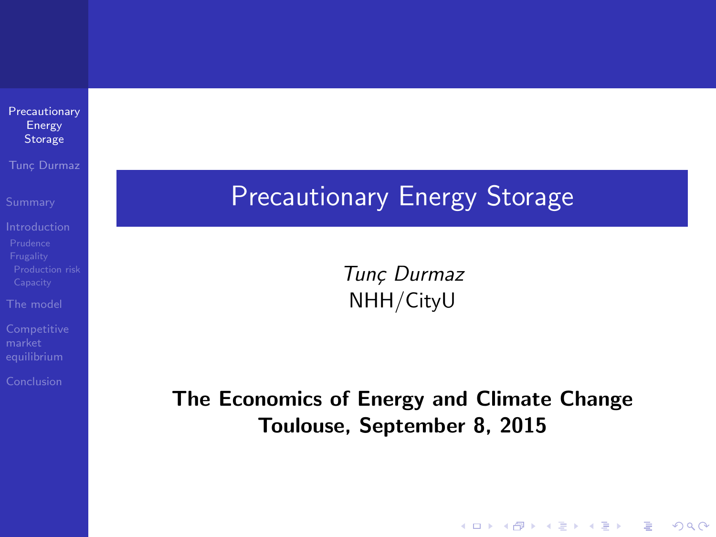| Precautionary |  |
|---------------|--|
| Energy        |  |
| Storage       |  |
|               |  |

Tunc Durmaz

[The model](#page-31-0)

<span id="page-0-0"></span>

### Precautionary Energy Storage

Tunç Durmaz NHH/CityU

The Economics of Energy and Climate Change Toulouse, September 8, 2015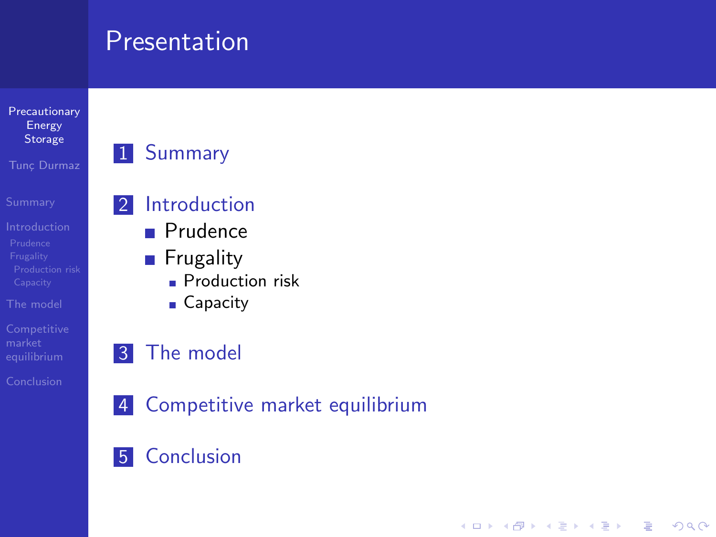### Presentation

[Precautionary](#page-0-0) Energy Storage

Tunc Durmaz

[The model](#page-31-0)

### 1 [Summary](#page-2-0)

### 2 [Introduction](#page-4-0)

- **[Prudence](#page-6-0)**
- **[Frugality](#page-14-0)** 
	- **[Production risk](#page-22-0)**
	- [Capacity](#page-27-0)

### 3 [The model](#page-31-0)

4 [Competitive market equilibrium](#page-40-0)

**KOD KARD KED KED E YORA** 

**5** [Conclusion](#page-53-0)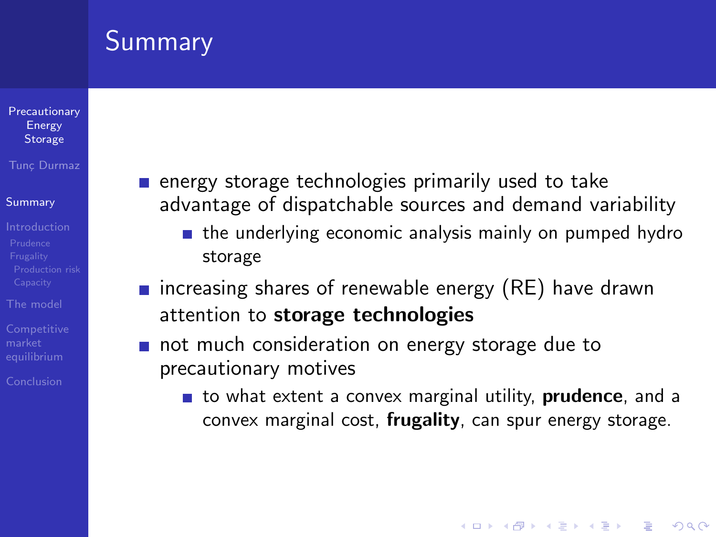# **Summary**

#### [Precautionary](#page-0-0) Energy **Storage**

#### Tunc Durmaz

#### [Summary](#page-2-0)

- 
- [The model](#page-31-0)
- 

<span id="page-2-0"></span>[Conclusion](#page-53-0)

- $\blacksquare$  energy storage technologies primarily used to take advantage of dispatchable sources and demand variability
	- $\blacksquare$  the underlying economic analysis mainly on pumped hydro storage
- **n** increasing shares of renewable energy  $(RE)$  have drawn attention to storage technologies
- not much consideration on energy storage due to precautionary motives
	- to what extent a convex marginal utility, **prudence**, and a convex marginal cost, frugality, can spur energy storage.

**KORK ERKER ADE YOUR**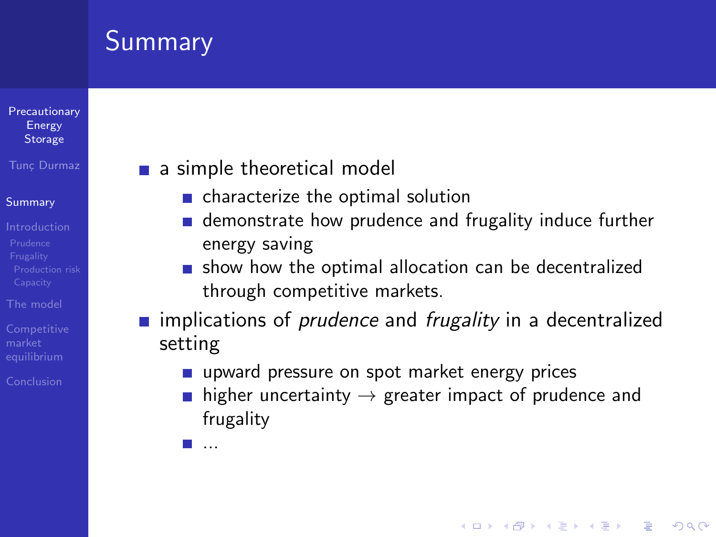# Summary

#### **[Precautionary](#page-0-0)** Energy **Storage**

### Tunc Durmaz

### [Summary](#page-2-0)

- 
- [The model](#page-31-0)
- **[Competitive](#page-40-0)**

[Conclusion](#page-53-0)

### a simple theoretical model

- characterize the optimal solution
- **demonstrate how prudence and frugality induce further** energy saving
- $\blacksquare$  show how the optimal allocation can be decentralized through competitive markets.
- **n** implications of *prudence* and *frugality* in a decentralized setting
	- upward pressure on spot market energy prices
	- **higher uncertainty**  $\rightarrow$  **greater impact of prudence and** frugality

**KORK ERKER ADE YOUR** 

...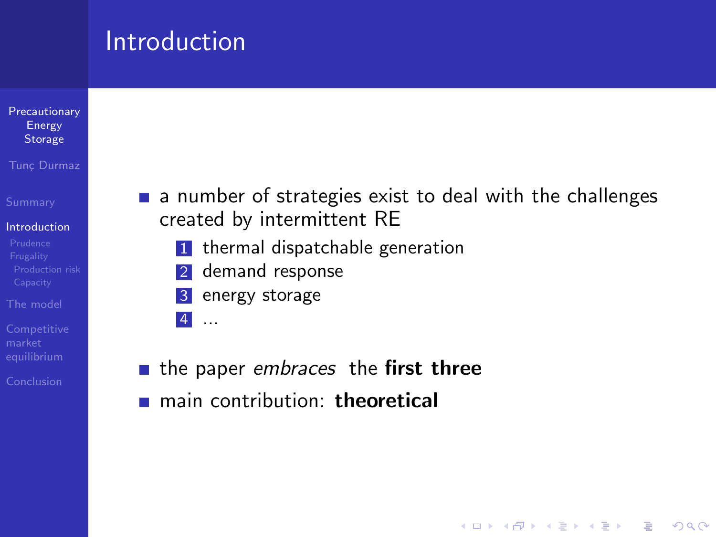### **Introduction**

#### **[Precautionary](#page-0-0)** Energy Storage

#### Tunc Durmaz

#### [Introduction](#page-4-0)

- [Prudence](#page-6-0)
- [The model](#page-31-0)
- 
- <span id="page-4-0"></span>[Conclusion](#page-53-0)

 $\blacksquare$  a number of strategies exist to deal with the challenges created by intermittent RE

**KOD KARD KED KED E YORA** 

- **1** thermal dispatchable generation
- 2 demand response
- 3 energy storage
- 4 ...
- $\blacksquare$  the paper embraces the first three
- main contribution: theoretical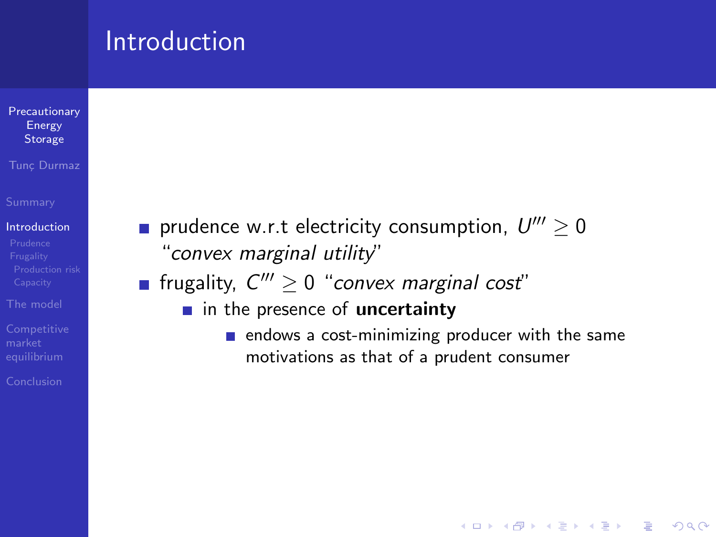### **Introduction**

#### [Precautionary](#page-0-0) Energy **Storage**

Tunc Durmaz

#### [Introduction](#page-4-0)

- 
- [The model](#page-31-0)
- 
- [Conclusion](#page-53-0)
- prudence w.r.t electricity consumption,  $U''' \geq 0$ "convex marginal utility"
- frugality,  $C''' \geq 0$  "convex marginal cost"
	- $\blacksquare$  in the presence of uncertainty
		- $\blacksquare$  endows a cost-minimizing producer with the same motivations as that of a prudent consumer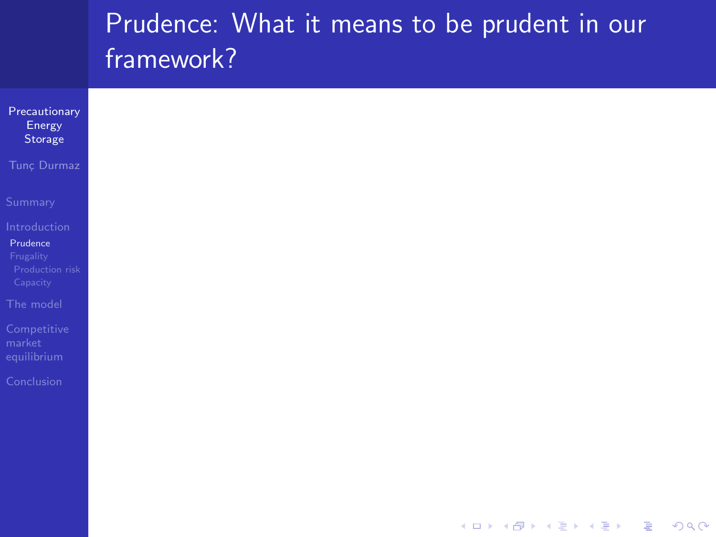<span id="page-6-0"></span>

| Precautionary<br>Energy<br>Storage                   |
|------------------------------------------------------|
| Tunç Durmaz                                          |
| Summary                                              |
| Introduction                                         |
| Prudence<br>Frugality<br>Production risk<br>Capacity |
| The model                                            |
| Competitive<br>market<br>equilibrium                 |
| Conclusion                                           |
|                                                      |
|                                                      |
|                                                      |
|                                                      |

K ロ ▶ K @ ▶ K 할 ▶ K 할 ▶ | 할 | ⊙Q @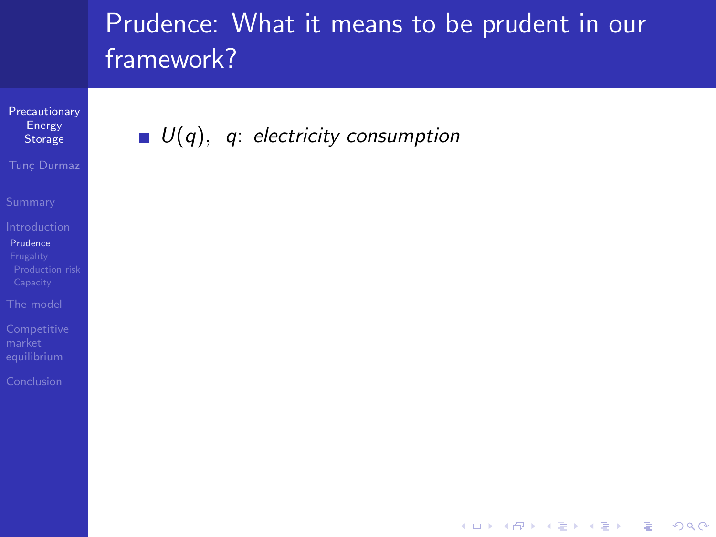**KOD KARD KED KED E YORA** 

**[Precautionary](#page-0-0)** Energy Storage

Tunc Durmaz

[Prudence](#page-6-0)

[The model](#page-31-0)

 $\blacksquare$   $U(q)$ , q: electricity consumption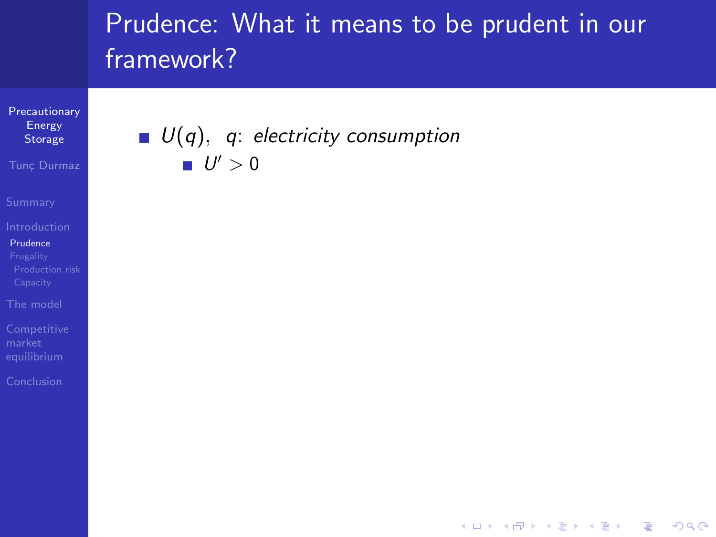**KORK STRATER STRAKER** 

**[Precautionary](#page-0-0)** Energy Storage

Tunc Durmaz

[Prudence](#page-6-0)

[The model](#page-31-0)

### $\blacksquare$   $U(q)$ , q: electricity consumption  $U' > 0$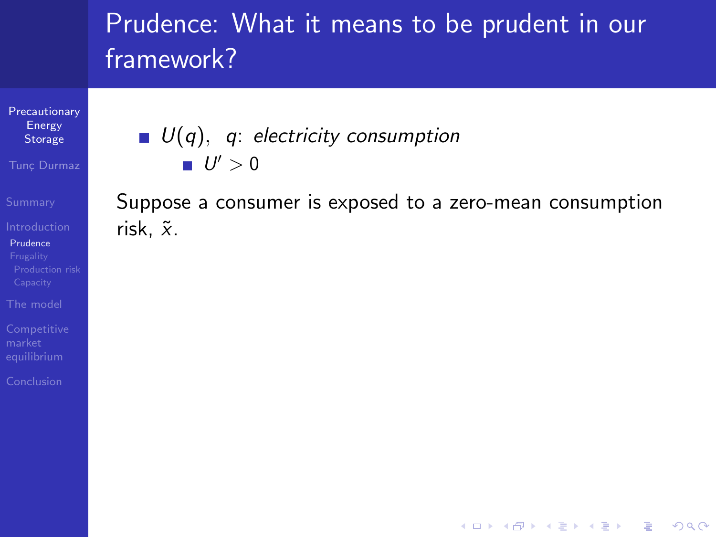**[Precautionary](#page-0-0)** Energy Storage

Tunc Durmaz

[Prudence](#page-6-0)

[The model](#page-31-0)

 $\blacksquare$   $U(q)$ , q: electricity consumption  $U' > 0$ 

Suppose a consumer is exposed to a zero-mean consumption risk,  $\tilde{x}$ .

**KOD KARD KED KED E YORA**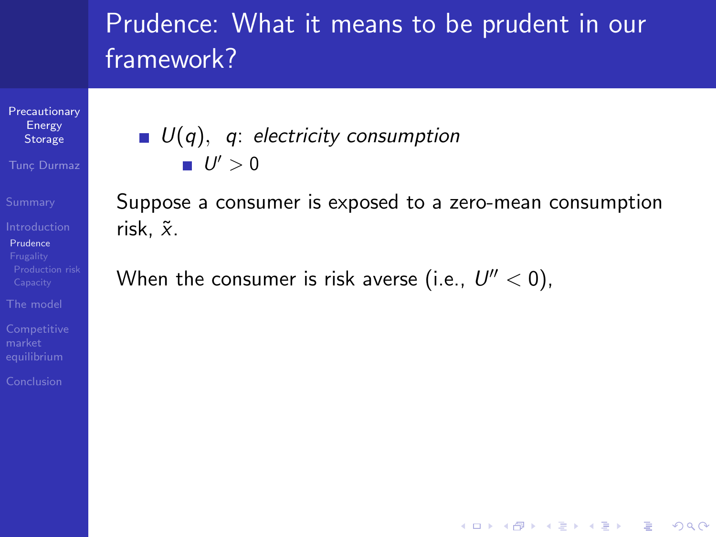**[Precautionary](#page-0-0)** Energy Storage

Tunc Durmaz

[Prudence](#page-6-0)

[The model](#page-31-0)

[Conclusion](#page-53-0)

 $\blacksquare$   $U(q)$ , q: electricity consumption  $U' > 0$ 

Suppose a consumer is exposed to a zero-mean consumption risk,  $\tilde{x}$ .

**KOD KARD KED KED E YORA** 

When the consumer is risk averse (i.e.,  $U'' < 0$ ),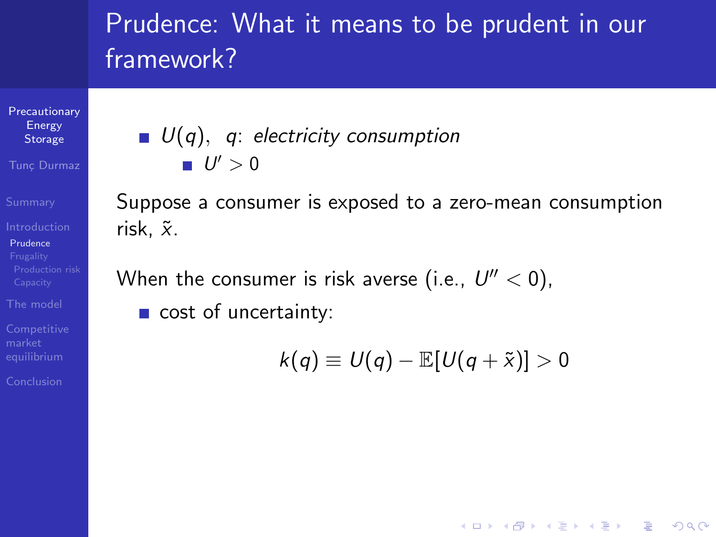**[Precautionary](#page-0-0)** Energy **Storage** 

Tunc Durmaz

[Prudence](#page-6-0)

[The model](#page-31-0)

[Conclusion](#page-53-0)

 $U(q)$ , q: electricity consumption  $U' > 0$ 

Suppose a consumer is exposed to a zero-mean consumption risk.  $\tilde{x}$ .

When the consumer is risk averse (i.e.,  $U'' < 0$ ),

cost of uncertainty:

 $k(q) \equiv U(q) - \mathbb{E}[U(q+\tilde{x})] > 0$ 

**KOD KARD KED KED E YORA**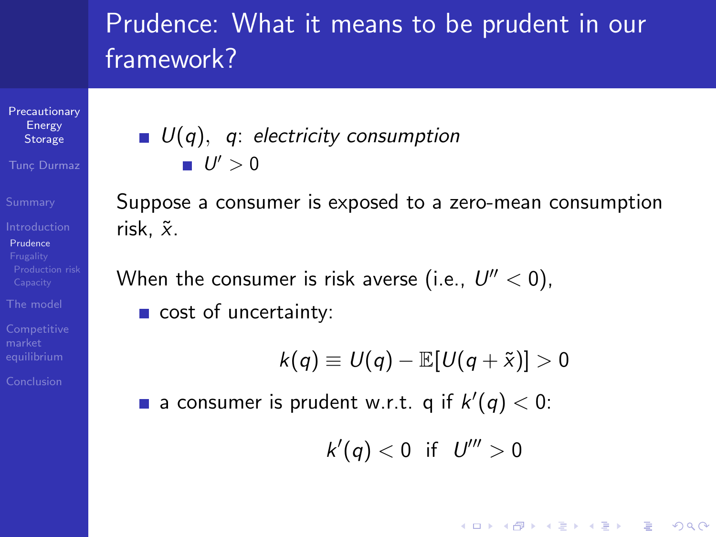**[Precautionary](#page-0-0)** Energy **Storage** 

Tunc Durmaz

**[Prudence](#page-6-0)** 

[The model](#page-31-0)

[Conclusion](#page-53-0)

### $\blacksquare$   $U(q)$ , q: electricity consumption  $U' > 0$

Suppose a consumer is exposed to a zero-mean consumption risk.  $\tilde{x}$ .

When the consumer is risk averse (i.e.,  $U'' < 0$ ),

cost of uncertainty:

$$
k(q) \equiv U(q) - \mathbb{E}[U(q+\tilde{x})] > 0
$$

a consumer is prudent w.r.t. q if  $k'(q) < 0$ :

$$
k'(q) < 0 \quad \text{if} \quad U''' > 0
$$

**KORK STRAIN A BAR SHOP**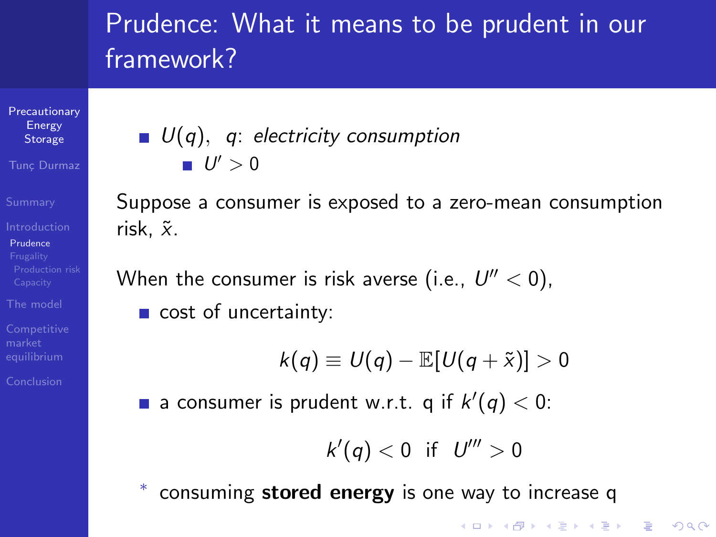**[Precautionary](#page-0-0)** Energy **Storage** 

Tunc Durmaz

[Prudence](#page-6-0)

[The model](#page-31-0)

[Conclusion](#page-53-0)

### $\blacksquare$   $U(q)$ , q: electricity consumption  $U' > 0$

Suppose a consumer is exposed to a zero-mean consumption risk.  $\tilde{x}$ .

When the consumer is risk averse (i.e.,  $U'' < 0$ ),

cost of uncertainty:

$$
k(q) \equiv U(q) - \mathbb{E}[U(q+\tilde{x})] > 0
$$

a consumer is prudent w.r.t. q if  $k'(q) < 0$ :

$$
k'(q) < 0 \quad \text{if} \quad U''' > 0
$$

**KORK ERKER ADE YOUR** 

∗ consuming stored energy is one way to increase q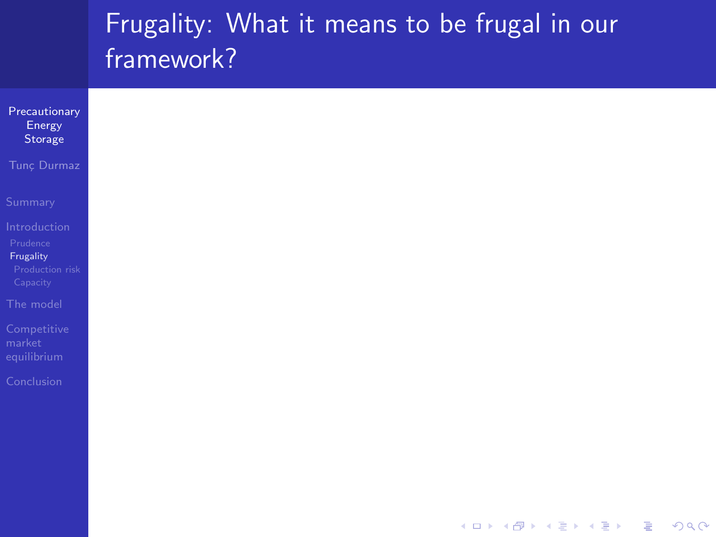<span id="page-14-0"></span>

| Precautionary<br>Energy<br>Storage                   |
|------------------------------------------------------|
| Tunç Durmaz                                          |
| Summary                                              |
| Introduction                                         |
| Prudence<br>Frugality<br>Production risk<br>Capacity |
| The model                                            |
| Competitive<br>market<br>equilibrium                 |
| Conclusion                                           |
|                                                      |
|                                                      |
|                                                      |
|                                                      |

K ロ ▶ K @ ▶ K 할 ▶ K 할 ▶ | 할 | ⊙Q @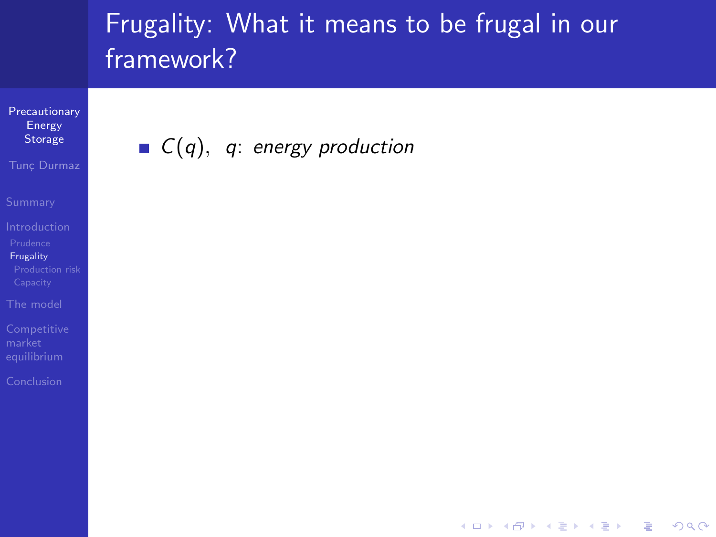**KORK STRATER STRAKER** 

**[Precautionary](#page-0-0)** Energy Storage

Tunc Durmaz

[Frugality](#page-14-0)

[The model](#page-31-0)

 $C(q)$ , q: energy production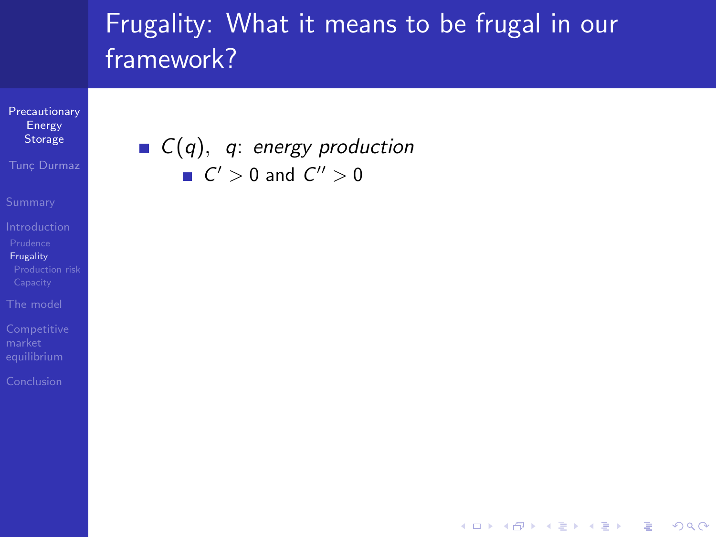**KORK STRATER STRAKER** 

**[Precautionary](#page-0-0)** Energy Storage

Tunc Durmaz

[Frugality](#page-14-0)

[The model](#page-31-0)

### $C(q)$ , q: energy production  $C' > 0$  and  $C'' > 0$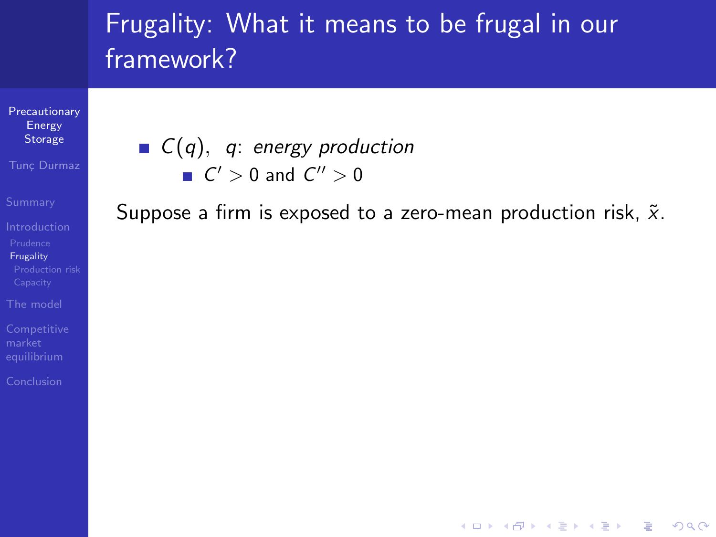[Precautionary](#page-0-0) Energy Storage

Tunc Durmaz

[Frugality](#page-14-0)

[The model](#page-31-0)

### $C(q)$ , q: energy production  $C' > 0$  and  $C'' > 0$

Suppose a firm is exposed to a zero-mean production risk,  $\tilde{x}$ .

**KOD KARD KED KED E YORA**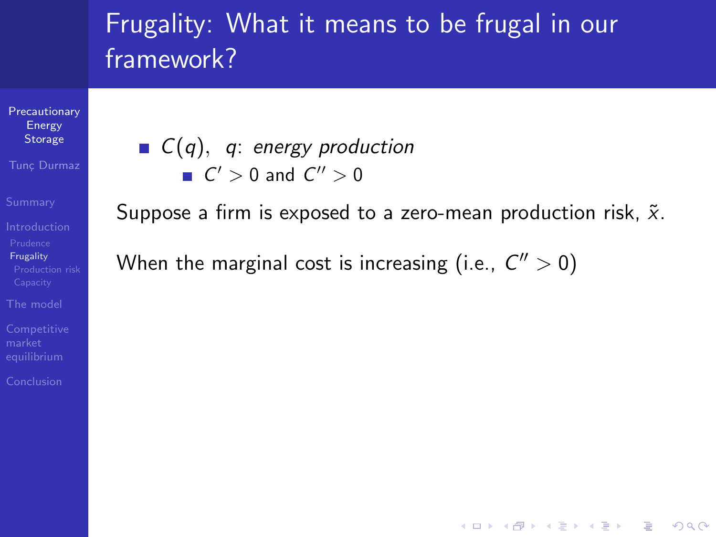[Precautionary](#page-0-0) Energy Storage

Tunc Durmaz

[Frugality](#page-14-0)

[The model](#page-31-0)

[Conclusion](#page-53-0)

 $C(q)$ , q: energy production  $C' > 0$  and  $C'' > 0$ 

Suppose a firm is exposed to a zero-mean production risk,  $\tilde{x}$ .

**KOD KARD KED KED E YORA** 

When the marginal cost is increasing (i.e.,  $C'' > 0$ )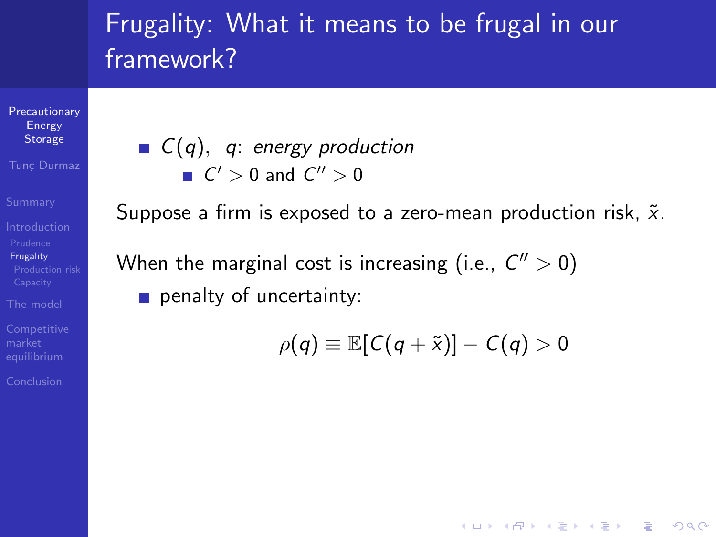**[Precautionary](#page-0-0)** Energy Storage

Tunc Durmaz

[Frugality](#page-14-0)

[The model](#page-31-0)

[Conclusion](#page-53-0)

 $C(q)$ , q: energy production  $C' > 0$  and  $C'' > 0$ 

Suppose a firm is exposed to a zero-mean production risk,  $\tilde{x}$ .

When the marginal cost is increasing (i.e.,  $C'' > 0$ ) penalty of uncertainty:

$$
\rho(q) \equiv \mathbb{E}[C(q+\tilde{x})] - C(q) > 0
$$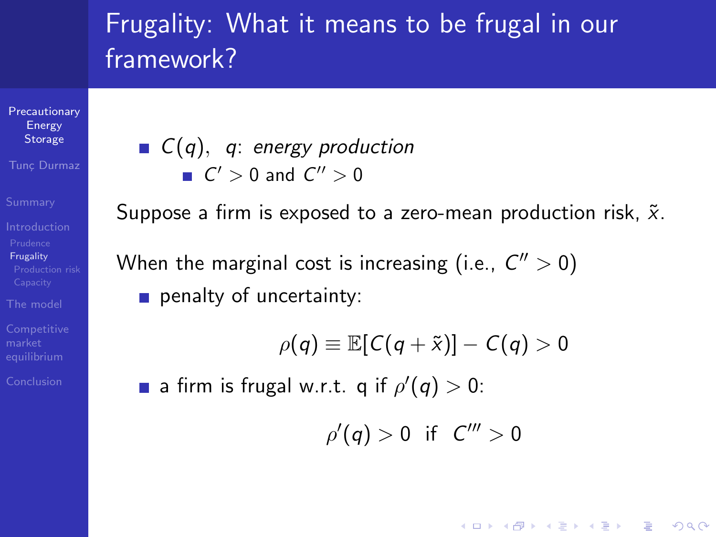**[Precautionary](#page-0-0)** Energy Storage

Tunc Durmaz

[Frugality](#page-14-0)

[The model](#page-31-0)

[Conclusion](#page-53-0)

 $C(q)$ , q: energy production  $C' > 0$  and  $C'' > 0$ 

Suppose a firm is exposed to a zero-mean production risk,  $\tilde{x}$ . When the marginal cost is increasing (i.e.,  $C'' > 0$ ) penalty of uncertainty:

**KOD KARD KED KED E YORA** 

$$
\rho(q) \equiv \mathbb{E}[C(q + \tilde{x})] - C(q) > 0
$$
\na firm is frugal w.r.t. q if  $\rho'(q) > 0$ :

\n
$$
\rho'(q) > 0 \quad \text{if} \quad C''' > 0
$$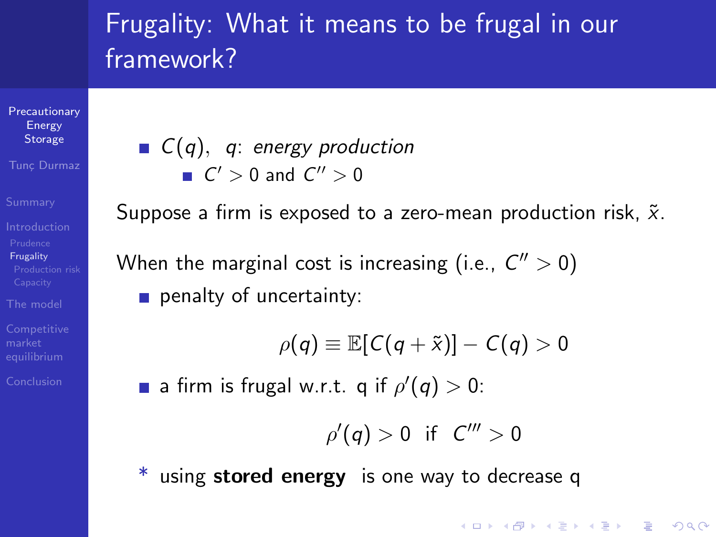**[Precautionary](#page-0-0)** Energy **Storage** 

Tunc Durmaz

**[Frugality](#page-14-0)** 

[The model](#page-31-0)

[Conclusion](#page-53-0)

 $C(q)$ , q: energy production  $C' > 0$  and  $C'' > 0$ 

Suppose a firm is exposed to a zero-mean production risk,  $\tilde{x}$ . When the marginal cost is increasing (i.e.,  $C'' > 0$ ) penalty of uncertainty:

$$
\rho(q) \equiv \mathbb{E}[C(q+\tilde{x})] - C(q) > 0
$$

a firm is frugal w.r.t. q if  $\rho'(q) > 0$ :

$$
\rho'(q) > 0 \quad \text{if} \quad C''' > 0
$$

**KORK ERKER ADE YOUR** 

using stored energy is one way to decrease q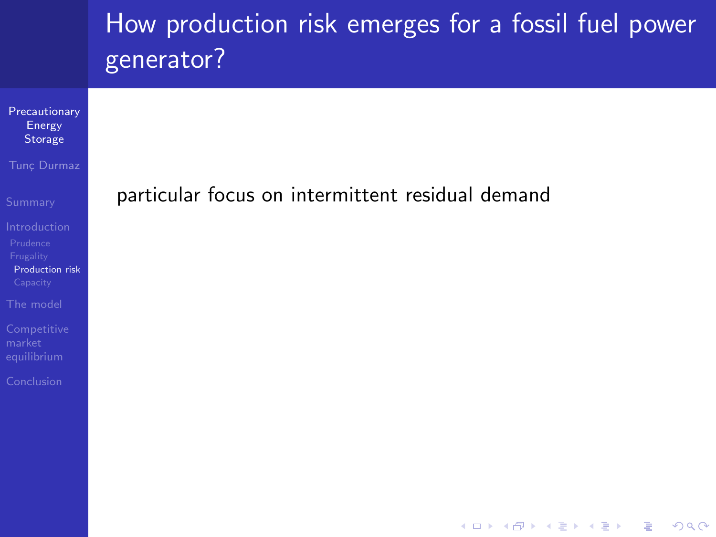<span id="page-22-0"></span>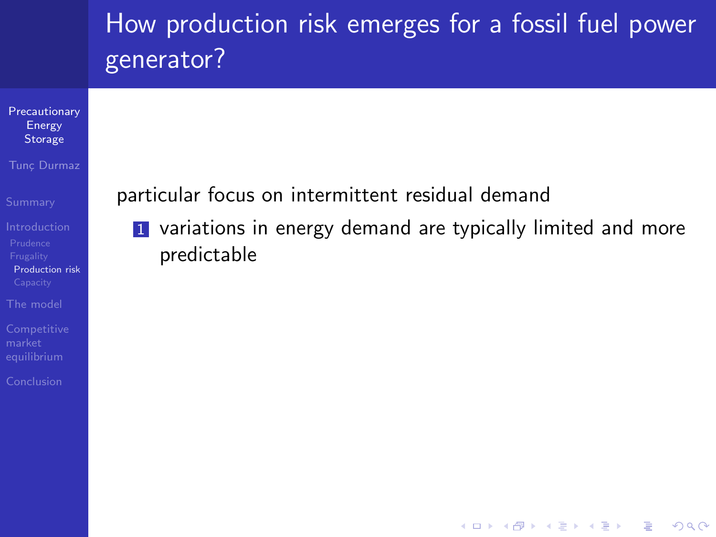**KOD KARD KED KED E YORA** 



[Conclusion](#page-53-0)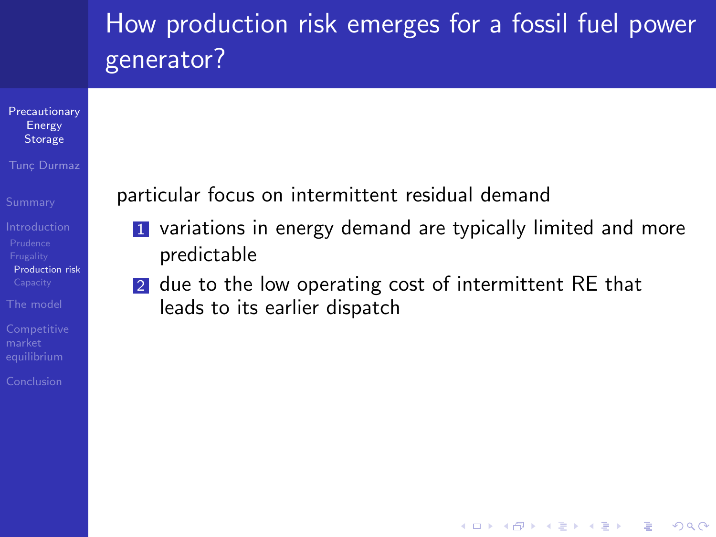

Tunc Durmaz

[Production risk](#page-22-0)

[The model](#page-31-0)

[Conclusion](#page-53-0)

particular focus on intermittent residual demand

**1** variations in energy demand are typically limited and more predictable

**KOD KARD KED KED E YORA** 

2 due to the low operating cost of intermittent RE that leads to its earlier dispatch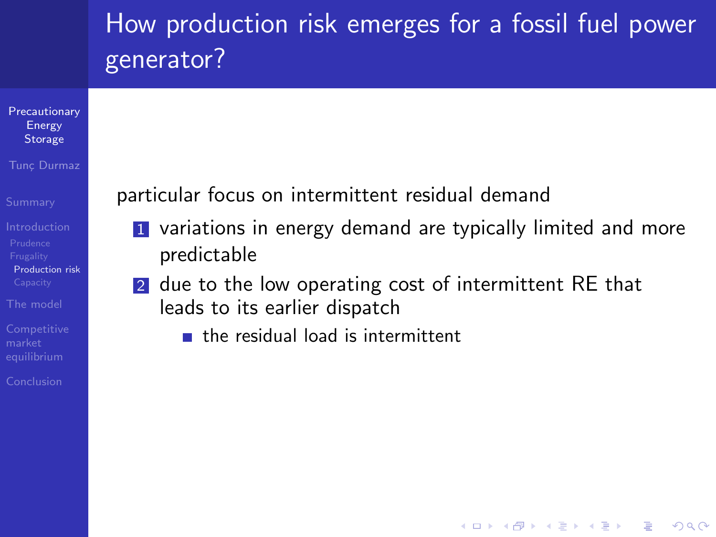

Tunc Durmaz

[Prudence](#page-6-0) [Production risk](#page-22-0)

[The model](#page-31-0)

[Conclusion](#page-53-0)

particular focus on intermittent residual demand

**1** variations in energy demand are typically limited and more predictable

**KORK STRAIN A BAR SHOP** 

- 2 due to the low operating cost of intermittent RE that leads to its earlier dispatch
	- **the residual load is intermittent**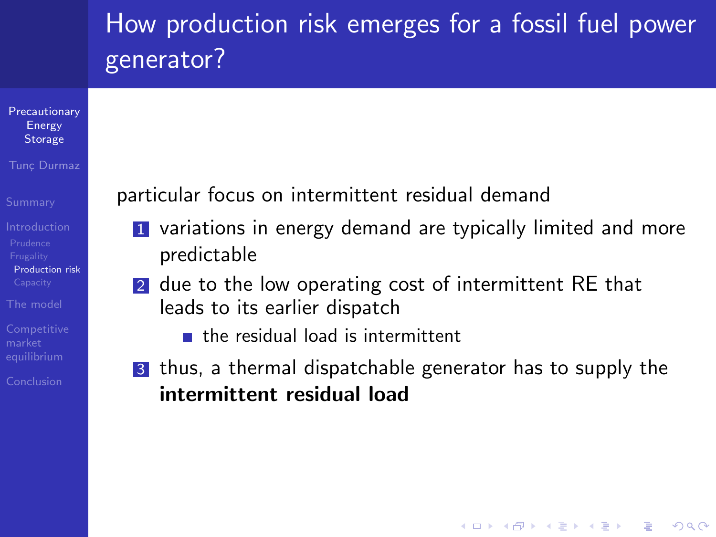

#### Tunc Durmaz

[Prudence](#page-6-0) [Production risk](#page-22-0)

[The model](#page-31-0)

[Conclusion](#page-53-0)

particular focus on intermittent residual demand

- **1** variations in energy demand are typically limited and more predictable
- 2 due to the low operating cost of intermittent RE that leads to its earlier dispatch
	- **the residual load is intermittent**
- 3 thus, a thermal dispatchable generator has to supply the intermittent residual load

**KORK STRAIN A BAR SHOP**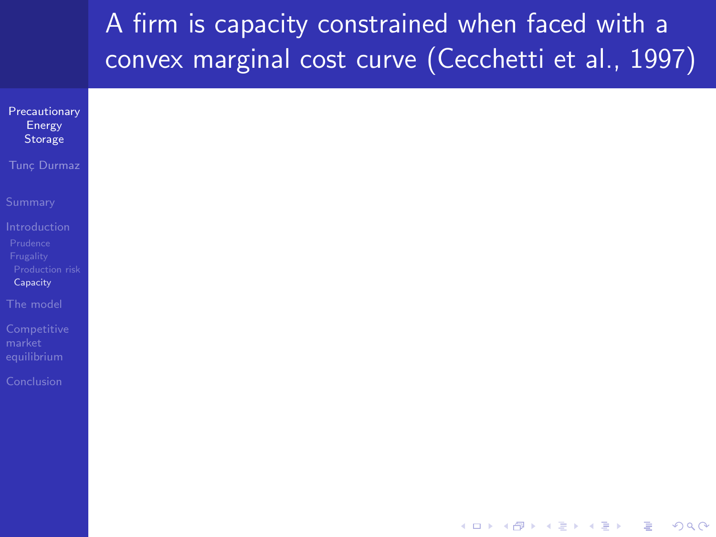## A firm is capacity constrained when faced with a convex marginal cost curve (Cecchetti et al., 1997)

<span id="page-27-0"></span>

| Precautionary         |
|-----------------------|
| Energy<br>Storage     |
|                       |
| Tunç Durmaz           |
|                       |
| Summary               |
|                       |
| ntroduction           |
| Prudence<br>Frugality |
| Production risk       |
| Capacity              |
| The model             |
|                       |
| Competitive<br>narket |
| equilibrium           |
|                       |
| Conclusion            |
|                       |
|                       |
|                       |
|                       |
|                       |
|                       |

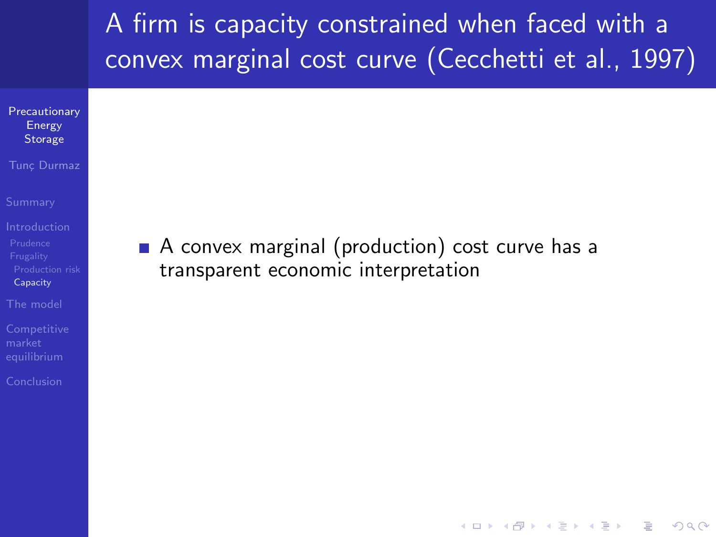## A firm is capacity constrained when faced with a convex marginal cost curve (Cecchetti et al., 1997)

- **[Precautionary](#page-0-0)** Energy **Storage**
- Tunc Durmaz
- 
- [Prudence](#page-6-0) [Capacity](#page-27-0)
- [The model](#page-31-0)
- **[Competitive](#page-40-0)**
- [Conclusion](#page-53-0)

A convex marginal (production) cost curve has a transparent economic interpretation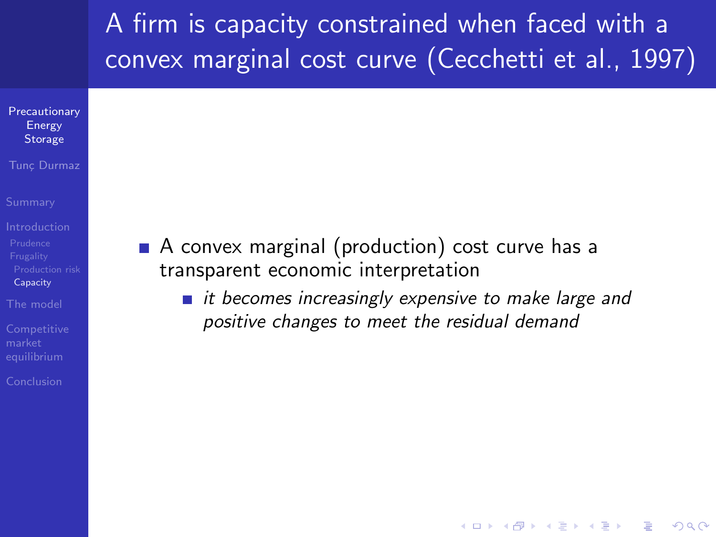# A firm is capacity constrained when faced with a convex marginal cost curve (Cecchetti et al., 1997)

- **[Precautionary](#page-0-0)** Energy **Storage**
- Tunc Durmaz
- 
- [Prudence](#page-6-0) [Capacity](#page-27-0)
- [The model](#page-31-0)
- **[Competitive](#page-40-0)**
- [Conclusion](#page-53-0)
- A convex marginal (production) cost curve has a transparent economic interpretation
	- $\blacksquare$  it becomes increasingly expensive to make large and positive changes to meet the residual demand

**KORK STRAIN A BAR SHOP**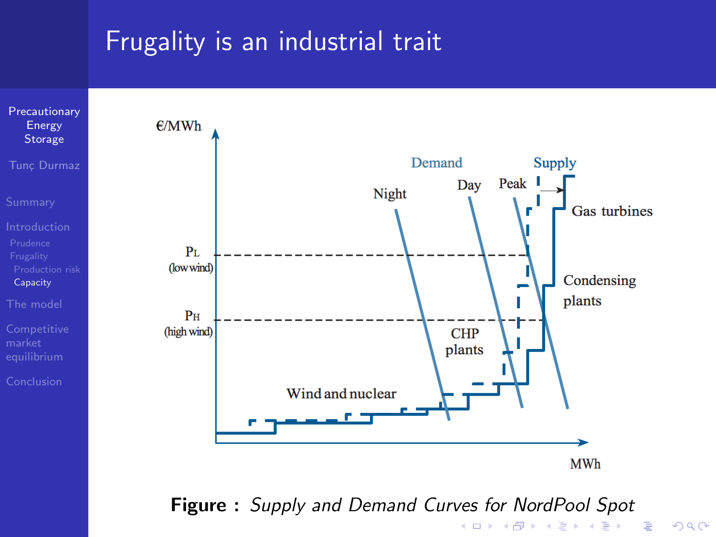### Frugality is an industrial trait



Figure : Supply and Demand Curves for NordPool Spotメロメ メ都 メメ きょ メモメ - 로

 $2990$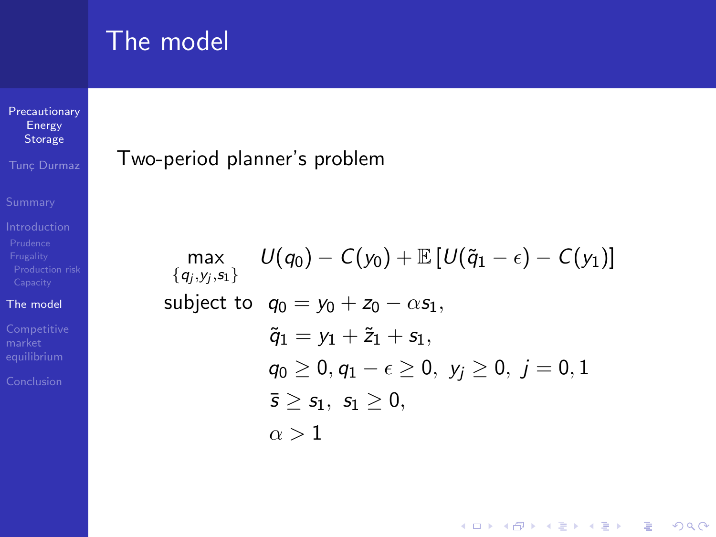### The model

### [Precautionary](#page-0-0) Energy Storage

Tunc Durmaz

#### [The model](#page-31-0)

<span id="page-31-0"></span>

### Two-period planner's problem

$$
\max_{\{q_j, y_j, \mathsf{s}_1\}} \ U(q_0) - C(y_0) + \mathbb{E}\left[U(\tilde{q}_1 - \epsilon) - C(y_1)\right]
$$
\nsubject to\n
$$
q_0 = y_0 + z_0 - \alpha s_1,
$$
\n
$$
\tilde{q}_1 = y_1 + \tilde{z}_1 + s_1,
$$
\n
$$
q_0 \ge 0, q_1 - \epsilon \ge 0, y_j \ge 0, j = 0, 1
$$
\n
$$
\bar{s} \ge s_1, s_1 \ge 0,
$$
\n
$$
\alpha > 1
$$

K ロ ▶ K @ ▶ K 할 X X 할 X | 할 X 1 9 Q Q ^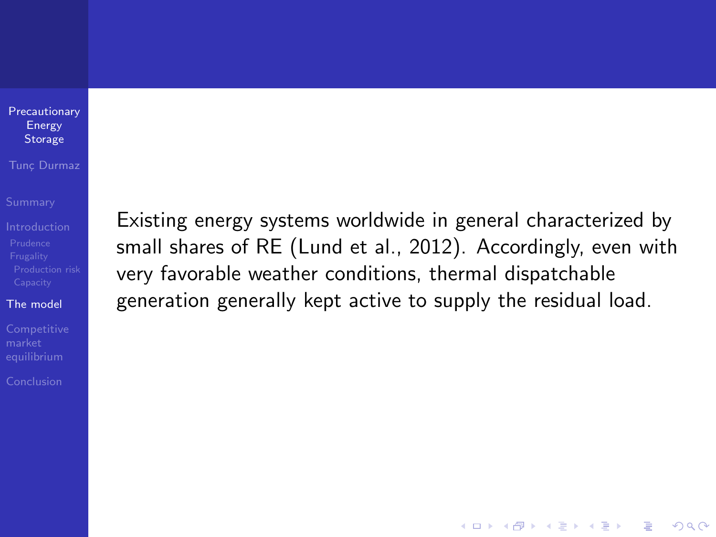#### [Precautionary](#page-0-0) Energy **Storage**

#### Tunc Durmaz

#### [The model](#page-31-0)

[Conclusion](#page-53-0)

Existing energy systems worldwide in general characterized by small shares of RE (Lund et al., 2012). Accordingly, even with very favorable weather conditions, thermal dispatchable generation generally kept active to supply the residual load.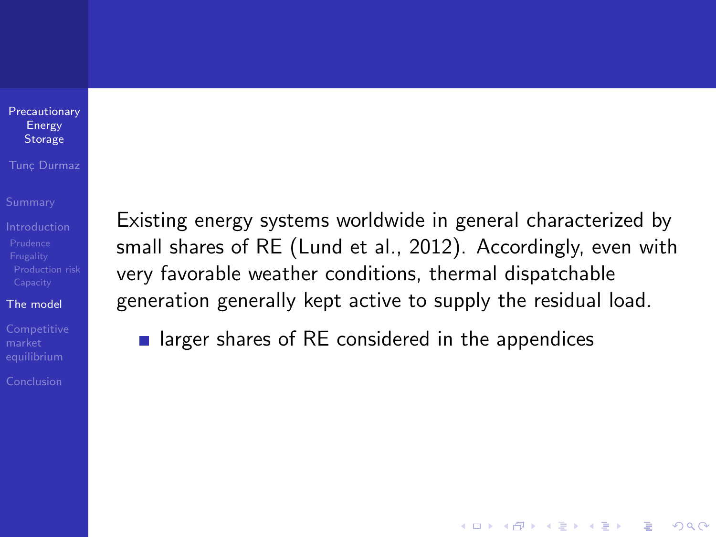#### **[Precautionary](#page-0-0)** Energy **Storage**

#### Tunc Durmaz

### [The model](#page-31-0)

[Conclusion](#page-53-0)

Existing energy systems worldwide in general characterized by small shares of RE (Lund et al., 2012). Accordingly, even with very favorable weather conditions, thermal dispatchable generation generally kept active to supply the residual load.

**KORK STRATER STRAKER** 

**Example 1** larger shares of RE considered in the appendices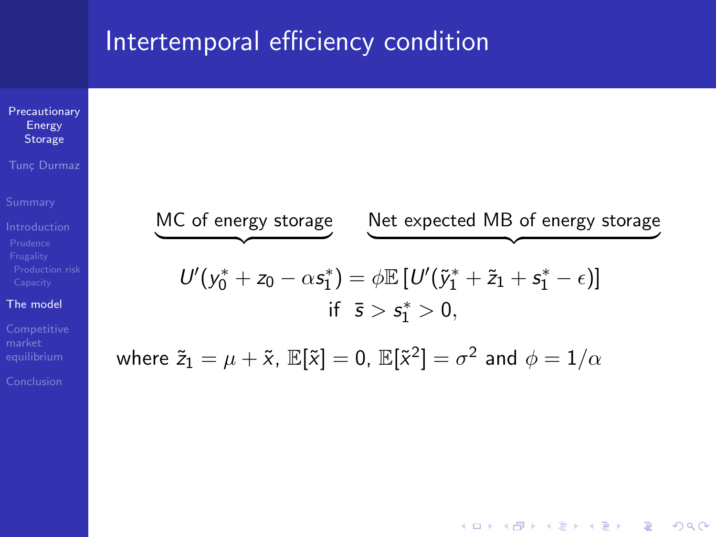### Intertemporal efficiency condition



**KORK STRAIN A BAR SHOP** 

[Conclusion](#page-53-0)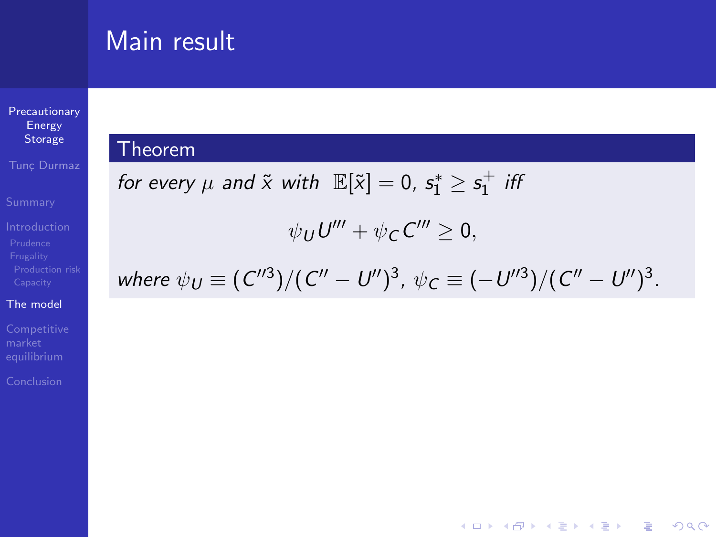### Main result

**[Precautionary](#page-0-0)** Energy **Storage** 

Tunc Durmaz

### [The model](#page-31-0)

### Theorem

<span id="page-35-0"></span>for every 
$$
\mu
$$
 and  $\tilde{x}$  with  $\mathbb{E}[\tilde{x}] = 0$ ,  $s_1^* \geq s_1^+$  iff

$$
\psi_U U''' + \psi_C C''' \geq 0,
$$

where 
$$
\psi_U \equiv (C''^3)/(C'' - U'')^3
$$
,  $\psi_C \equiv (-U''^3)/(C'' - U'')^3$ .

K ロ ▶ K @ ▶ K 할 ▶ K 할 ▶ | 할 | ⊙Q @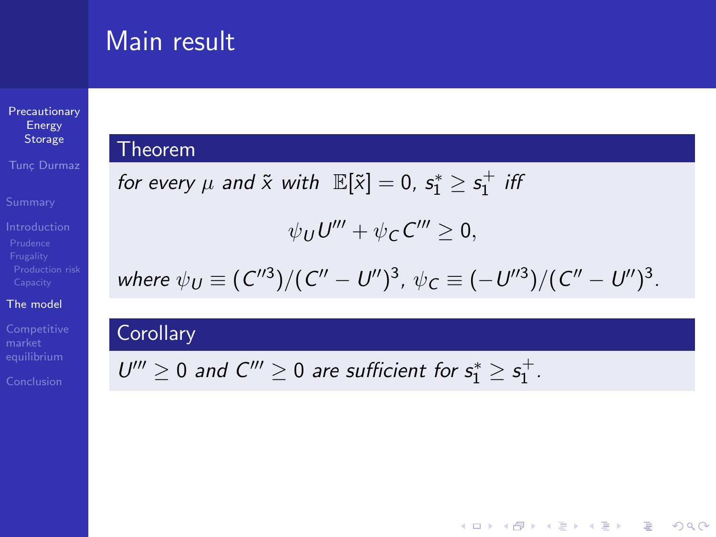### Main result

[Precautionary](#page-0-0) Energy Storage

**Tunc Durmaz** 

### [The model](#page-31-0)

### **Theorem**

for every 
$$
\mu
$$
 and  $\tilde{x}$  with  $\mathbb{E}[\tilde{x}] = 0$ ,  $s_1^* \geq s_1^+$  iff  

$$
\psi_U U''' + \psi_C C''' \geq 0,
$$

where 
$$
\psi_U \equiv (C''^3)/(C'' - U'')^3
$$
,  $\psi_C \equiv (-U''^3)/(C'' - U'')^3$ 

.

K ロ ▶ K @ ▶ K 할 ▶ K 할 ▶ | 할 | © 9 Q @

### **Corollary**

 $U''' \geq 0$  and  $C''' \geq 0$  are sufficient for  $s_1^* \geq s_1^+$ .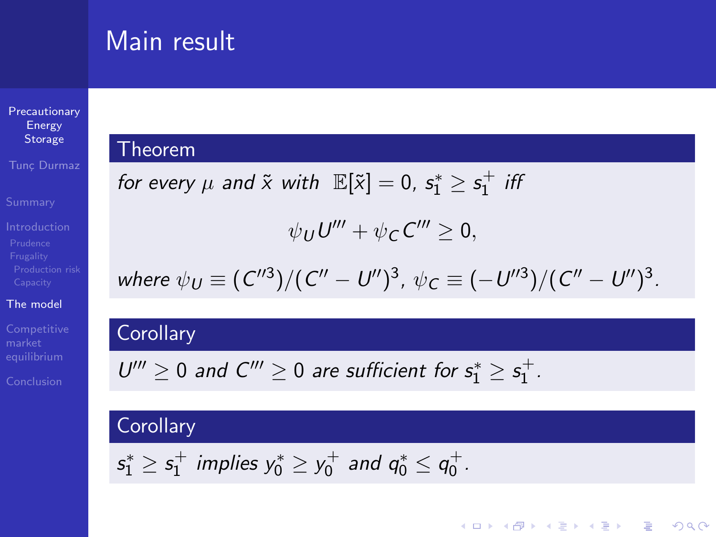### Main result

[Precautionary](#page-0-0) Energy Storage

Tunc Durmaz

#### [The model](#page-31-0)

### Theorem

for every 
$$
\mu
$$
 and  $\tilde{x}$  with  $\mathbb{E}[\tilde{x}] = 0$ ,  $s_1^* \ge s_1^+$  iff  
\n
$$
\psi_U U''' + \psi_C C''' \ge 0,
$$
\nwhere  $\psi_U \equiv (C''^3)/(C'' - U'')^3$ ,  $\psi_C \equiv (-U''^3)/(C'' - U'')^3$ .

K ロ ▶ K @ ▶ K 할 ▶ K 할 ▶ | 할 | © 9 Q @

### **Corollary**

$$
U''' \geq 0 \text{ and } C''' \geq 0 \text{ are sufficient for } s_1^* \geq s_1^+.
$$

### **Corollary**

$$
s_1^* \geq s_1^+
$$
 implies  $y_0^* \geq y_0^+$  and  $q_0^* \leq q_0^+$ .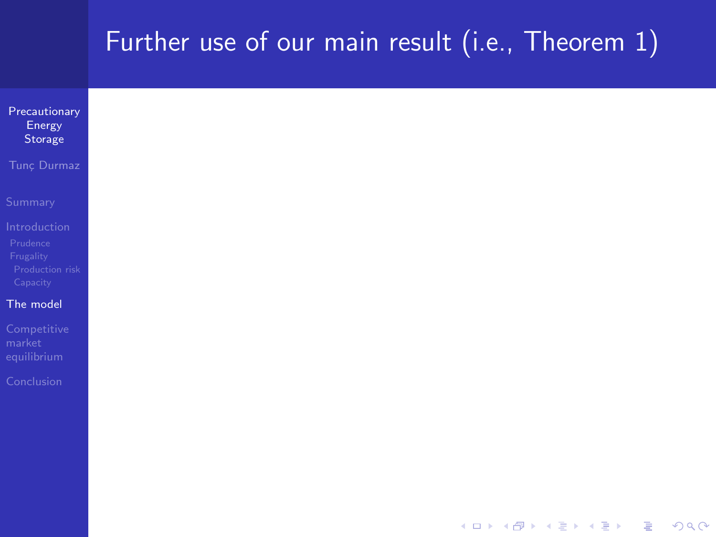### Further use of our main result (i.e., Theorem [1\)](#page-35-0)

| Precautionary<br>Energy<br>Storage                                   |
|----------------------------------------------------------------------|
| Tunç Durmaz                                                          |
| Summary                                                              |
| Introduction<br>Prudence<br>Frugality<br>Production risk<br>Capacity |
| The model                                                            |
| Competitive<br>market<br>equilibrium                                 |
| Conclusion                                                           |
|                                                                      |
|                                                                      |
|                                                                      |

K ロ X K 메 X K B X X B X X D X O Q Q O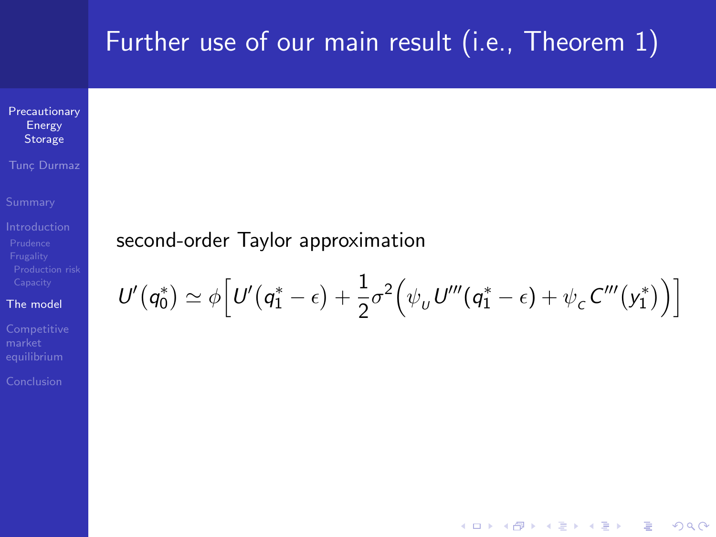### Further use of our main result (i.e., Theorem [1\)](#page-35-0)

**[Precautionary](#page-0-0)** Energy Storage

Tunc Durmaz

#### [The model](#page-31-0)

### second-order Taylor approximation

$$
U'(q_0^*) \simeq \phi \Big[ U'(q_1^* - \epsilon) + \frac{1}{2} \sigma^2 \Big( \psi_U U'''(q_1^* - \epsilon) + \psi_C C'''(y_1^*) \Big) \Big]
$$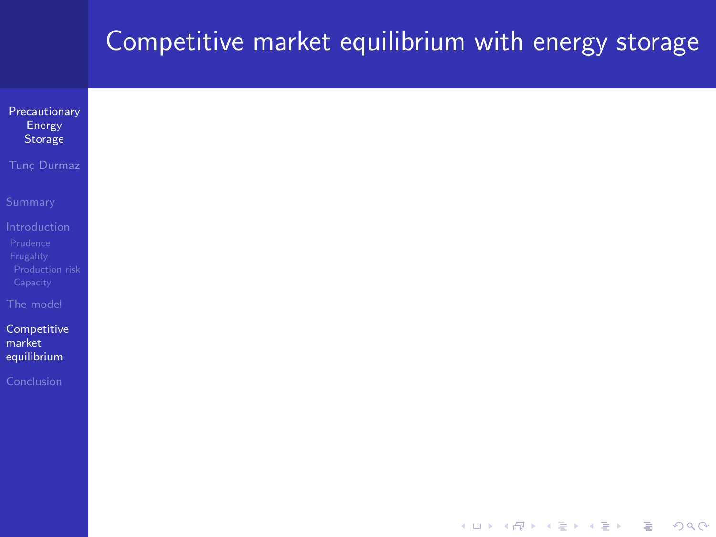<span id="page-40-0"></span>

| Precautionary<br>Energy<br>Storage   |
|--------------------------------------|
| Tunç Durmaz                          |
| Summary                              |
| Introduction<br>Prudence             |
| Frugality<br>Production risk         |
| Capacity                             |
| The model                            |
| Competitive<br>market<br>equilibrium |
| Conclusion                           |
|                                      |
|                                      |
|                                      |
|                                      |

K ロ ▶ K @ ▶ K 할 ▶ K 할 ▶ | 할 | ⊙Q @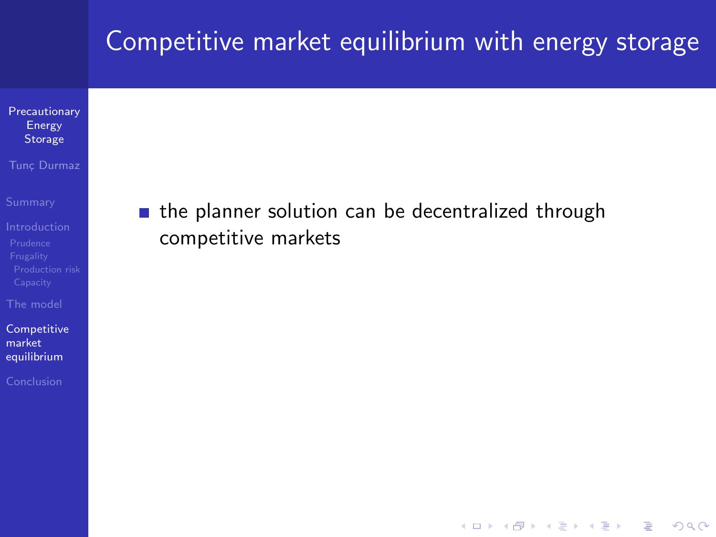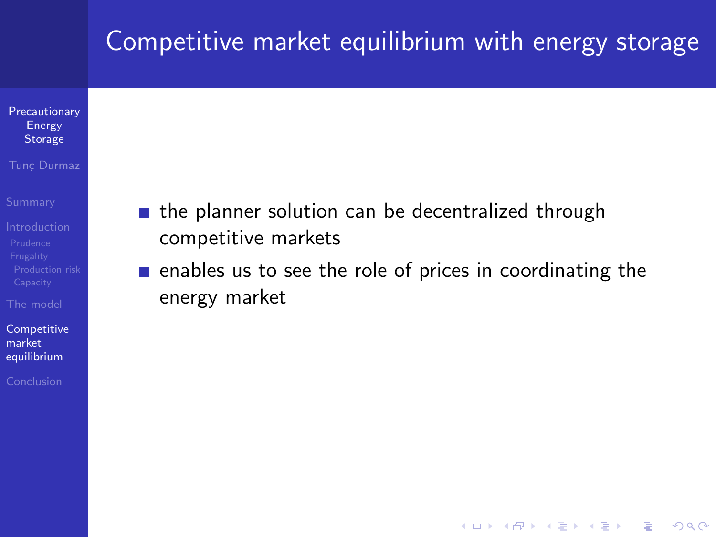- [Precautionary](#page-0-0) Energy Storage
- Tunc Durmaz
- 
- 
- [The model](#page-31-0)
- **[Competitive](#page-40-0)** market equilibrium
- 
- **the planner solution can be decentralized through** competitive markets
- $\blacksquare$  enables us to see the role of prices in coordinating the energy market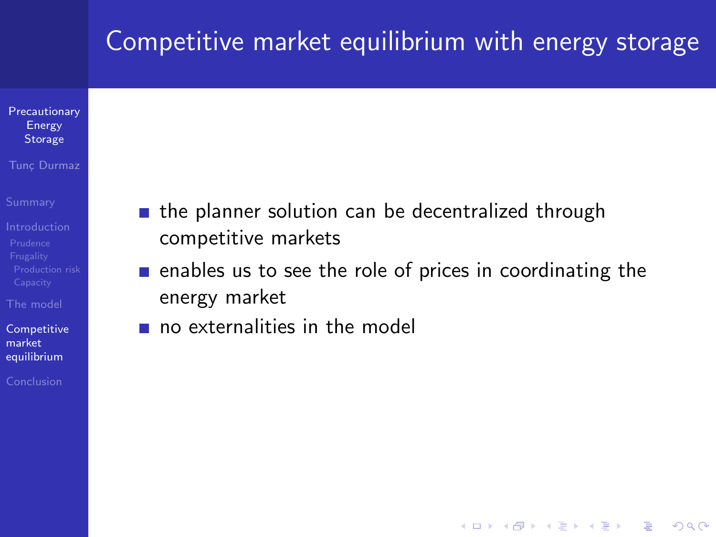#### [Precautionary](#page-0-0) Energy **Storage**

#### Tunc Durmaz

[Prudence](#page-6-0)

[The model](#page-31-0)

**[Competitive](#page-40-0)** market equilibrium

[Conclusion](#page-53-0)

- **the planner solution can be decentralized through** competitive markets
- $\blacksquare$  enables us to see the role of prices in coordinating the energy market

**KOD KARD KED KED E YORA** 

no externalities in the model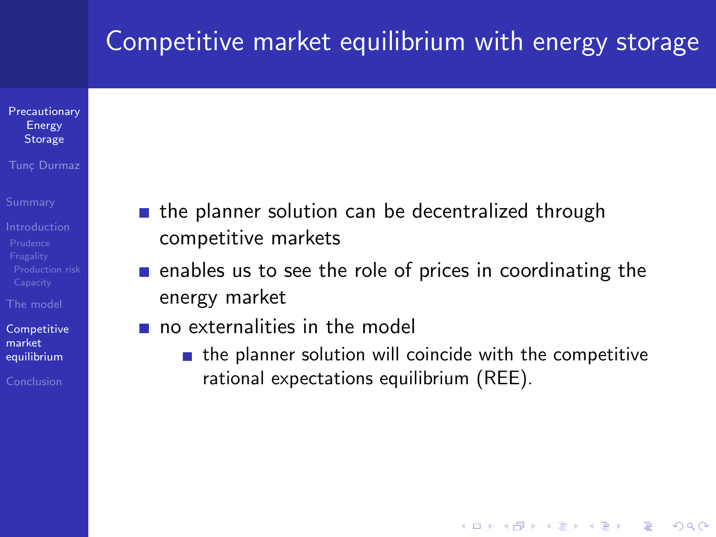#### **[Precautionary](#page-0-0)** Energy **Storage**

#### Tunc Durmaz

[The model](#page-31-0)

**[Competitive](#page-40-0)** market equilibrium

[Conclusion](#page-53-0)

- **the planner solution can be decentralized through** competitive markets
- $\blacksquare$  enables us to see the role of prices in coordinating the energy market
- no externalities in the model
	- $\blacksquare$  the planner solution will coincide with the competitive rational expectations equilibrium (REE).

**KOD KARD KED KED E YORA**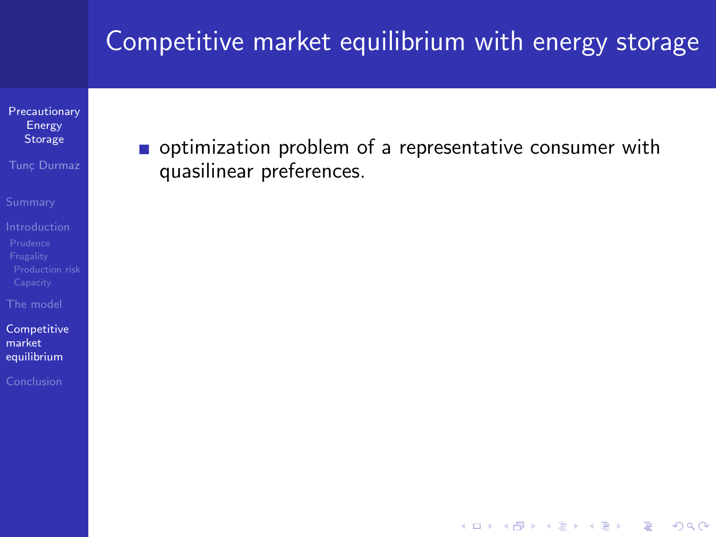**[Precautionary](#page-0-0)** Energy Storage

Tunc Durmaz

[The model](#page-31-0)

[Competitive](#page-40-0) market equilibrium

optimization problem of a representative consumer with quasilinear preferences.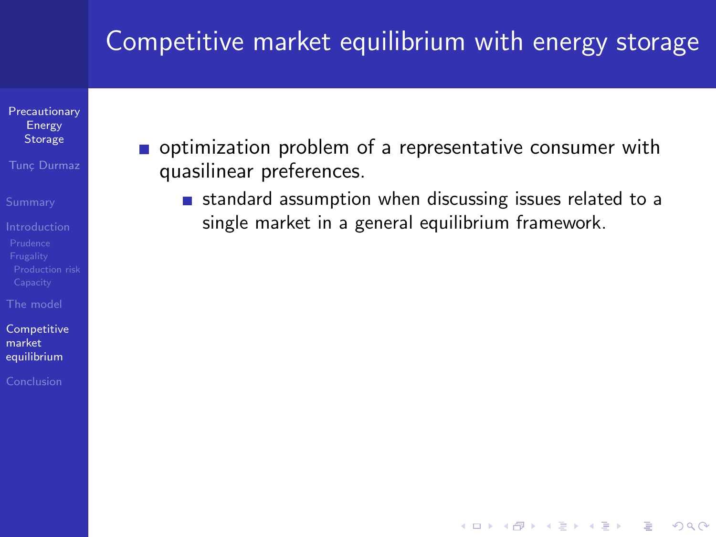[Precautionary](#page-0-0) Energy Storage

Tunc Durmaz

[Prudence](#page-6-0)

[The model](#page-31-0)

**[Competitive](#page-40-0)** market equilibrium

[Conclusion](#page-53-0)

- optimization problem of a representative consumer with quasilinear preferences.
	- **standard assumption when discussing issues related to a** single market in a general equilibrium framework.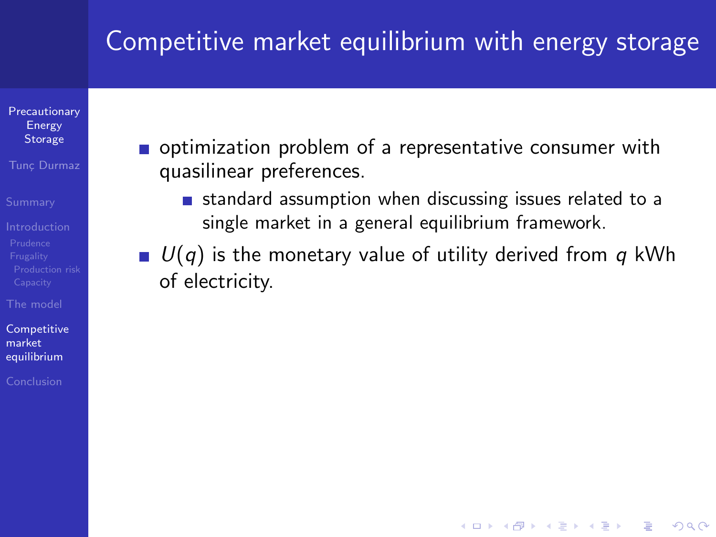**[Precautionary](#page-0-0)** Energy **Storage** 

Tunc Durmaz

[Prudence](#page-6-0)

[The model](#page-31-0)

**[Competitive](#page-40-0)** market equilibrium

[Conclusion](#page-53-0)

- optimization problem of a representative consumer with quasilinear preferences.
	- **standard assumption when discussing issues related to a** single market in a general equilibrium framework.
- $U(q)$  is the monetary value of utility derived from q kWh of electricity.

**KORK ERKER ADE YOUR**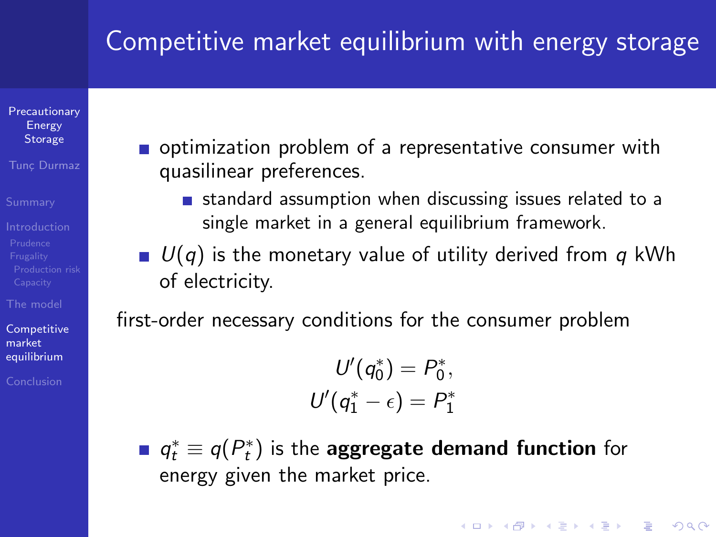**[Precautionary](#page-0-0)** Energy **Storage** 

Tunc Durmaz

[Prudence](#page-6-0)

[The model](#page-31-0)

**[Competitive](#page-40-0)** market equilibrium

[Conclusion](#page-53-0)

- optimization problem of a representative consumer with quasilinear preferences.
	- **standard assumption when discussing issues related to a** single market in a general equilibrium framework.
- $U(q)$  is the monetary value of utility derived from q kWh of electricity.

first-order necessary conditions for the consumer problem

 $U'(q_0^*) = P_0^*,$  $U'(q_1^*-\epsilon)=P_1^*$ 

 $q_t^*\equiv q(P_t^*)$  is the <mark>aggregate demand function</mark> for energy given the market price.

**KORK ERKER ADE YOUR**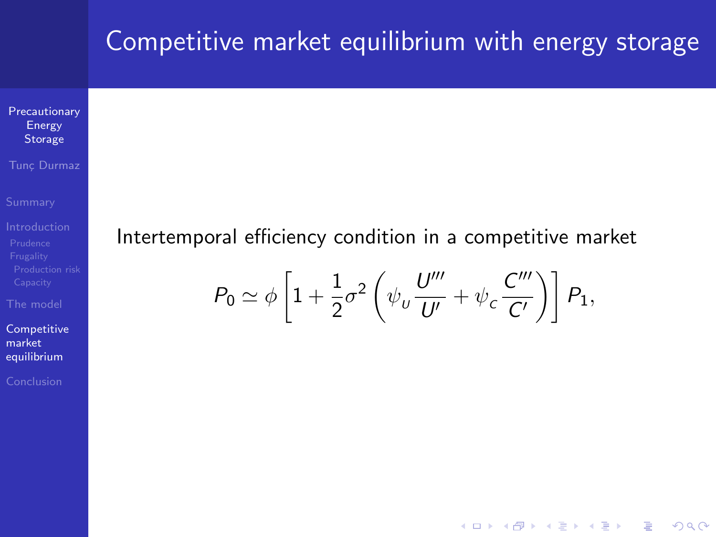**[Precautionary](#page-0-0)** Energy Storage

Tunc Durmaz

[The model](#page-31-0)

[Competitive](#page-40-0) market equilibrium

### Intertemporal efficiency condition in a competitive market

$$
P_0 \simeq \phi \left[ 1 + \frac{1}{2} \sigma^2 \left( \psi_u \frac{U'''}{U'} + \psi_c \frac{C'''}{C'} \right) \right] P_1,
$$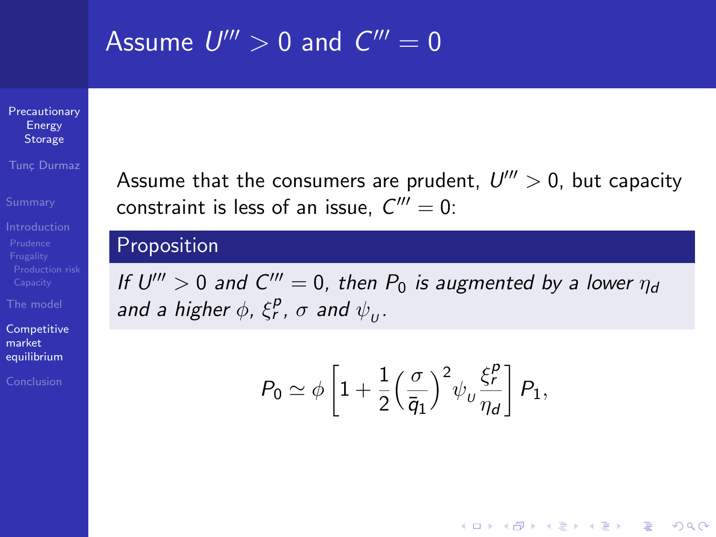## Assume  $U^{\prime\prime\prime}>0$  and  $C^{\prime\prime\prime}=0$

[Precautionary](#page-0-0) Energy **Storage** 

Tunc Durmaz

[The model](#page-31-0)

**[Competitive](#page-40-0)** market equilibrium

[Conclusion](#page-53-0)

Assume that the consumers are prudent,  $U''' > 0$ , but capacity constraint is less of an issue,  $C''' = 0$ :

### Proposition

If  $U''' > 0$  and  $C''' = 0$ , then  $P_0$  is augmented by a lower  $\eta_d$ and a higher  $\phi$ ,  $\xi_r^p$ ,  $\sigma$  and  $\psi_\upsilon$ .

$$
P_0 \simeq \phi \left[ 1 + \frac{1}{2} \left( \frac{\sigma}{\overline{q}_1} \right)^2 \psi_u \frac{\xi_r^p}{\eta_d} \right] P_1,
$$

**KOD KARD KED KED E YORA**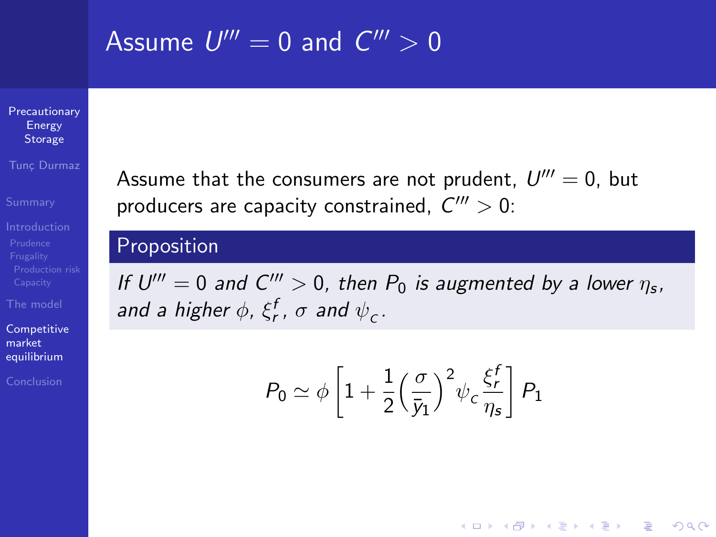## Assume  $U'''=0$  and  $C'''>0$

[Precautionary](#page-0-0) Energy **Storage** 

Tunc Durmaz

[The model](#page-31-0)

**[Competitive](#page-40-0)** market equilibrium

[Conclusion](#page-53-0)

Assume that the consumers are not prudent,  $U''' = 0$ , but producers are capacity constrained,  $C''' > 0$ :

### Proposition

If  $U''' = 0$  and  $C''' > 0$ , then  $P_0$  is augmented by a lower  $\eta_s$ , and a higher  $\phi$ ,  $\xi_{\bm r}^{\bm f}$ ,  $\sigma$  and  $\psi_{\bm c}$ .

$$
P_0 \simeq \phi \left[ 1 + \frac{1}{2} \left( \frac{\sigma}{\bar{y}_1} \right)^2 \psi_c \frac{\xi_r^f}{\eta_s} \right] P_1
$$

**KORK ERKER ADE YOUR**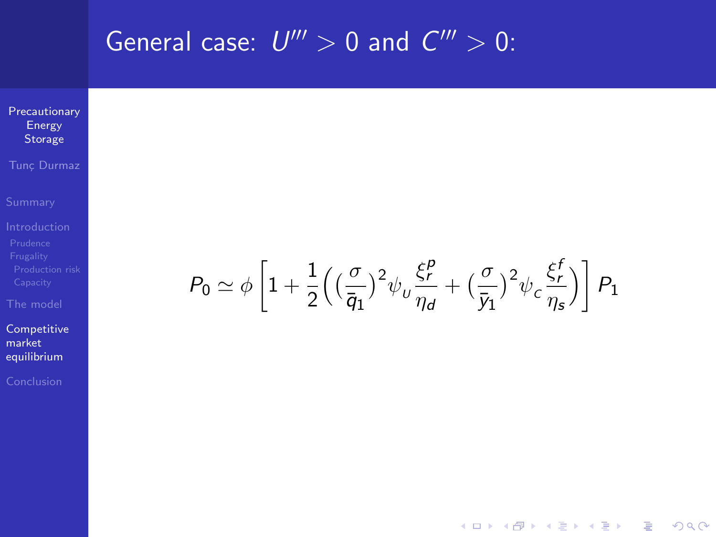**General case:** 
$$
U''' > 0
$$
 and  $C''' > 0$ :  
\n $\text{Precautionary}\atop{\text{Energy}\atop\text{Fraglity}\atop\text{Fraglity}\atop\text{Chaglet}}}$ \n $\text{Summary}\atop{\text{Fraglity}\atop\text{Capacity}\atop\text{Capacity}}}$ \n
$$
P_0 \simeq \phi \left[1 + \frac{1}{2} \left( \left(\frac{\sigma}{\overline{q}_1}\right)^2 \psi_U \frac{\xi_P^p}{\eta_d} + \left(\frac{\sigma}{\overline{y}_1}\right)^2 \psi_C \frac{\xi_f^f}{\eta_s}\right)\right] P_1
$$
\n $\text{Complete}\atop{\text{conclusion}\atop\text{Cauchition}}}$ 

KOXKOXKEXKEX E DAG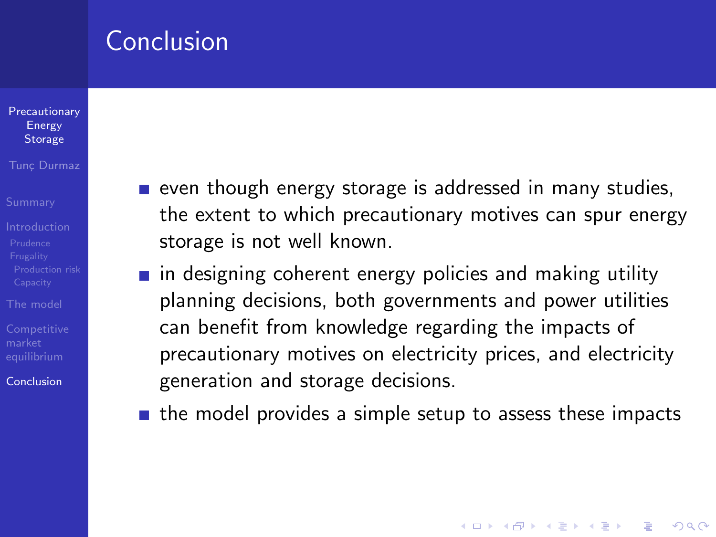### Conclusion

#### **[Precautionary](#page-0-0)** Energy **Storage**

#### Tunc Durmaz

- 
- 
- [The model](#page-31-0)
- 

<span id="page-53-0"></span>[Conclusion](#page-53-0)

- even though energy storage is addressed in many studies, the extent to which precautionary motives can spur energy storage is not well known.
- $\blacksquare$  in designing coherent energy policies and making utility planning decisions, both governments and power utilities can benefit from knowledge regarding the impacts of precautionary motives on electricity prices, and electricity generation and storage decisions.
- $\blacksquare$  the model provides a simple setup to assess these impacts

**KORK ERKER ADE YOUR**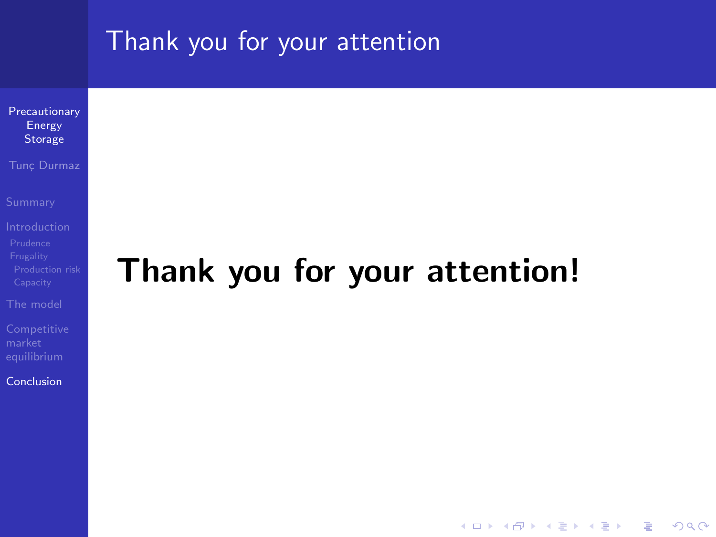### Thank you for your attention

[Precautionary](#page-0-0) Energy Storage

Tunc Durmaz

[The model](#page-31-0)

[Conclusion](#page-53-0)

# Thank you for your attention!

**KOD KARD KED KED E YORA**